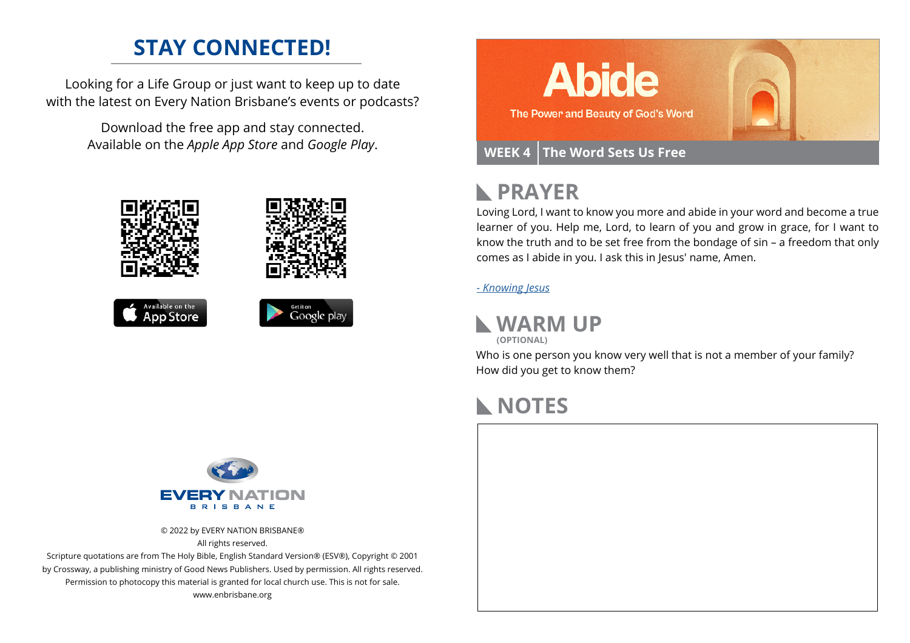## **STAY CONNECTED!**

Looking for a Life Group or just want to keep up to date with the latest on Every Nation Brisbane's events or podcasts?

> Download the free app and stay connected. Available on the *Apple App Store* and *Google Play*.











#### **PRAYER**  $\blacktriangleright$

Loving Lord, I want to know you more and abide in your word and become a true learner of you. Help me, Lord, to learn of you and grow in grace, for I want to know the truth and to be set free from the bondage of sin – a freedom that only comes as I abide in you. I ask this in Jesus' name, Amen.

#### *[- Knowing Jesus](https://prayer.knowing-jesus.com/John/8)*



**(OPTIONAL)**

Who is one person you know very well that is not a member of your family? How did you get to know them?

### **NOTES**





© 2022 by EVERY NATION BRISBANE® All rights reserved.

Scripture quotations are from The Holy Bible, English Standard Version® (ESV®), Copyright © 2001 by Crossway, a publishing ministry of Good News Publishers. Used by permission. All rights reserved. Permission to photocopy this material is granted for local church use. This is not for sale. www.enbrisbane.org